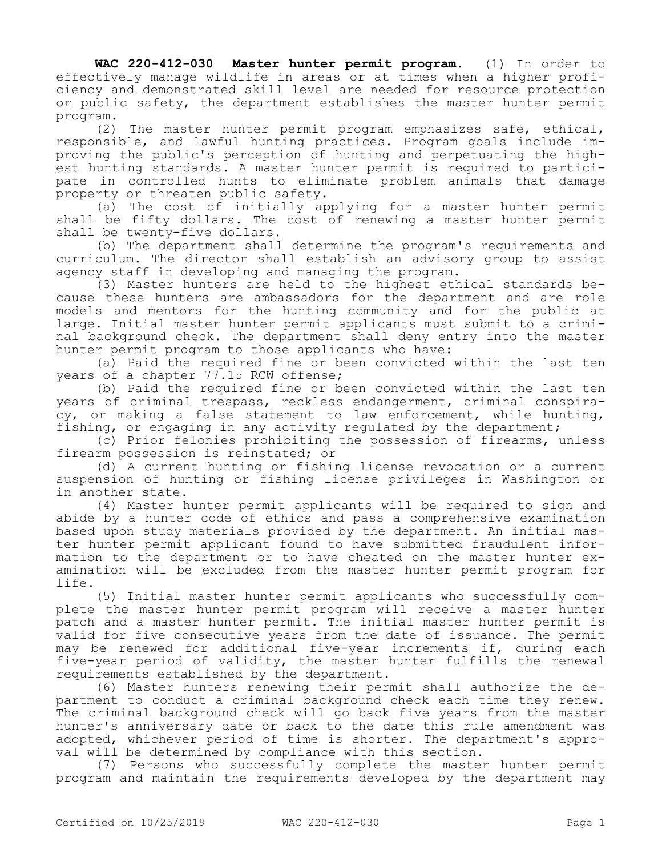**WAC 220-412-030 Master hunter permit program.** (1) In order to effectively manage wildlife in areas or at times when a higher proficiency and demonstrated skill level are needed for resource protection or public safety, the department establishes the master hunter permit program.

(2) The master hunter permit program emphasizes safe, ethical, responsible, and lawful hunting practices. Program goals include improving the public's perception of hunting and perpetuating the highest hunting standards. A master hunter permit is required to participate in controlled hunts to eliminate problem animals that damage property or threaten public safety.

(a) The cost of initially applying for a master hunter permit shall be fifty dollars. The cost of renewing a master hunter permit shall be twenty-five dollars.

(b) The department shall determine the program's requirements and curriculum. The director shall establish an advisory group to assist agency staff in developing and managing the program.

(3) Master hunters are held to the highest ethical standards because these hunters are ambassadors for the department and are role models and mentors for the hunting community and for the public at large. Initial master hunter permit applicants must submit to a criminal background check. The department shall deny entry into the master hunter permit program to those applicants who have:

(a) Paid the required fine or been convicted within the last ten years of a chapter 77.15 RCW offense;

(b) Paid the required fine or been convicted within the last ten years of criminal trespass, reckless endangerment, criminal conspiracy, or making a false statement to law enforcement, while hunting, fishing, or engaging in any activity regulated by the department;

(c) Prior felonies prohibiting the possession of firearms, unless firearm possession is reinstated; or

(d) A current hunting or fishing license revocation or a current suspension of hunting or fishing license privileges in Washington or in another state.

(4) Master hunter permit applicants will be required to sign and abide by a hunter code of ethics and pass a comprehensive examination based upon study materials provided by the department. An initial master hunter permit applicant found to have submitted fraudulent information to the department or to have cheated on the master hunter examination will be excluded from the master hunter permit program for life.

(5) Initial master hunter permit applicants who successfully complete the master hunter permit program will receive a master hunter patch and a master hunter permit. The initial master hunter permit is valid for five consecutive years from the date of issuance. The permit may be renewed for additional five-year increments if, during each five-year period of validity, the master hunter fulfills the renewal requirements established by the department.

(6) Master hunters renewing their permit shall authorize the department to conduct a criminal background check each time they renew. The criminal background check will go back five years from the master hunter's anniversary date or back to the date this rule amendment was adopted, whichever period of time is shorter. The department's approval will be determined by compliance with this section.

(7) Persons who successfully complete the master hunter permit program and maintain the requirements developed by the department may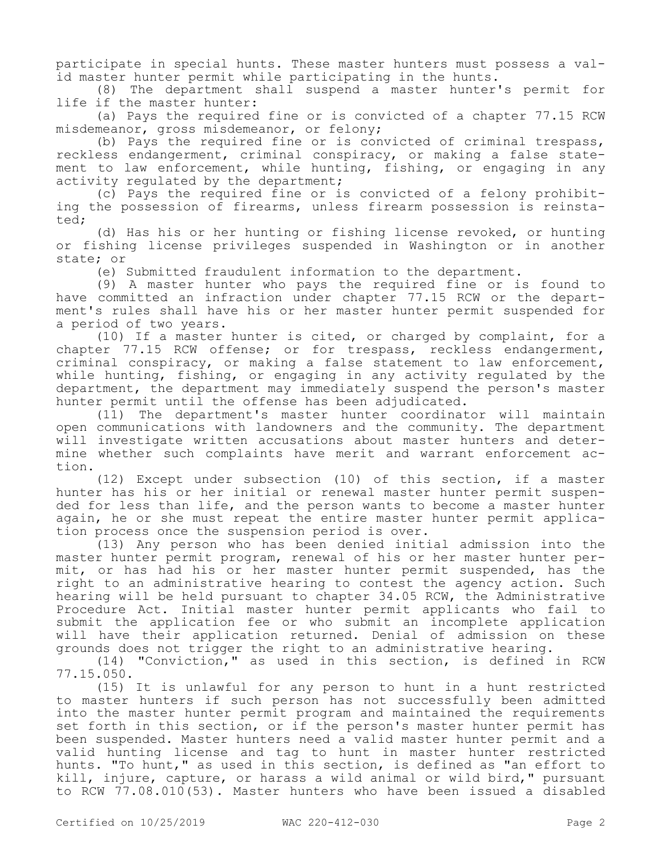participate in special hunts. These master hunters must possess a valid master hunter permit while participating in the hunts.

(8) The department shall suspend a master hunter's permit for life if the master hunter:

(a) Pays the required fine or is convicted of a chapter 77.15 RCW misdemeanor, gross misdemeanor, or felony;

(b) Pays the required fine or is convicted of criminal trespass, reckless endangerment, criminal conspiracy, or making a false statement to law enforcement, while hunting, fishing, or engaging in any activity regulated by the department;

(c) Pays the required fine or is convicted of a felony prohibiting the possession of firearms, unless firearm possession is reinstated;

(d) Has his or her hunting or fishing license revoked, or hunting or fishing license privileges suspended in Washington or in another state; or

(e) Submitted fraudulent information to the department.

(9) A master hunter who pays the required fine or is found to have committed an infraction under chapter 77.15 RCW or the department's rules shall have his or her master hunter permit suspended for a period of two years.

(10) If a master hunter is cited, or charged by complaint, for a chapter 77.15 RCW offense; or for trespass, reckless endangerment, criminal conspiracy, or making a false statement to law enforcement, while hunting, fishing, or engaging in any activity regulated by the department, the department may immediately suspend the person's master hunter permit until the offense has been adjudicated.

(11) The department's master hunter coordinator will maintain open communications with landowners and the community. The department will investigate written accusations about master hunters and determine whether such complaints have merit and warrant enforcement action.

(12) Except under subsection (10) of this section, if a master hunter has his or her initial or renewal master hunter permit suspended for less than life, and the person wants to become a master hunter again, he or she must repeat the entire master hunter permit application process once the suspension period is over.

(13) Any person who has been denied initial admission into the master hunter permit program, renewal of his or her master hunter permit, or has had his or her master hunter permit suspended, has the right to an administrative hearing to contest the agency action. Such hearing will be held pursuant to chapter 34.05 RCW, the Administrative Procedure Act. Initial master hunter permit applicants who fail to submit the application fee or who submit an incomplete application will have their application returned. Denial of admission on these grounds does not trigger the right to an administrative hearing.

(14) "Conviction," as used in this section, is defined in RCW 77.15.050.

(15) It is unlawful for any person to hunt in a hunt restricted to master hunters if such person has not successfully been admitted into the master hunter permit program and maintained the requirements set forth in this section, or if the person's master hunter permit has been suspended. Master hunters need a valid master hunter permit and a valid hunting license and tag to hunt in master hunter restricted hunts. "To hunt," as used in this section, is defined as "an effort to kill, injure, capture, or harass a wild animal or wild bird," pursuant to RCW 77.08.010(53). Master hunters who have been issued a disabled